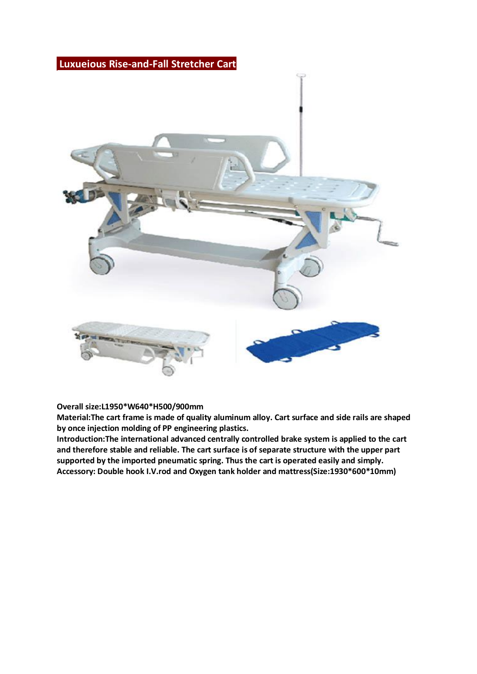## **Luxueious Rise-and-Fall Stretcher Cart**



#### **Overall size:L1950\*W640\*H500/900mm**

**Material:The cart frame is made of quality aluminum alloy. Cart surface and side rails are shaped by once injection molding of PP engineering plastics.**

**Introduction:The international advanced centrally controlled brake system is applied to the cart and therefore stable and reliable. The cart surface is of separate structure with the upper part supported by the imported pneumatic spring. Thus the cart is operated easily and simply. Accessory: Double hook I.V.rod and Oxygen tank holder and mattress(Size:1930\*600\*10mm)**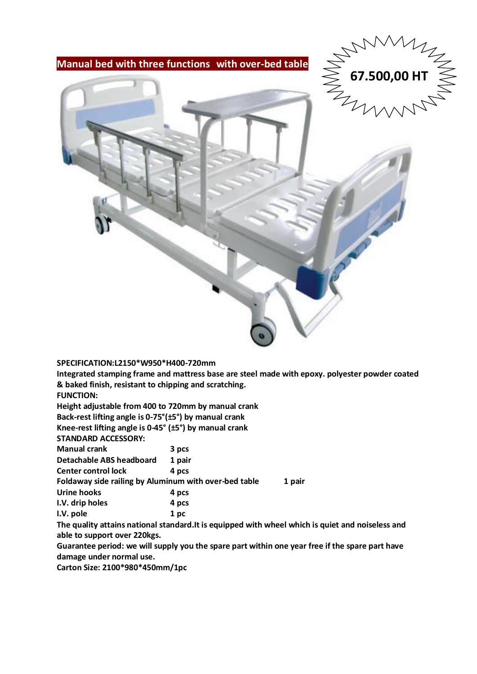





#### **SPECIFICATION:L2150\*W950\*H400-720mm**

**Integrated stamping frame and mattress base are steel made with epoxy. polyester powder coated & baked finish, resistant to chipping and scratching.**

**FUNCTION:**

**Height adjustable from 400 to 720mm by manual crank**

**Back-rest lifting angle is 0-75°(±5°) by manual crank**

**Knee-rest lifting angle is 0-45° (±5°) by manual crank** 

**STANDARD ACCESSORY:**

| <b>Manual crank</b> |  | 3 pcs |
|---------------------|--|-------|
|                     |  |       |

**Detachable ABS headboard 1 pair**

**Center control lock 4 pcs** 

**Foldaway side railing by Aluminum with over-bed table 1 pair Urine hooks 4 pcs**

| Urine nooks     | 4 pcs |  |  |
|-----------------|-------|--|--|
| I.V. drip holes | 4 pcs |  |  |

**I.V. pole 1 pc** 

**The quality attains national standard.It is equipped with wheel which is quiet and noiseless and able to support over 220kgs.** 

**Guarantee period: we will supply you the spare part within one year free if the spare part have damage under normal use.** 

**Carton Size: 2100\*980\*450mm/1pc**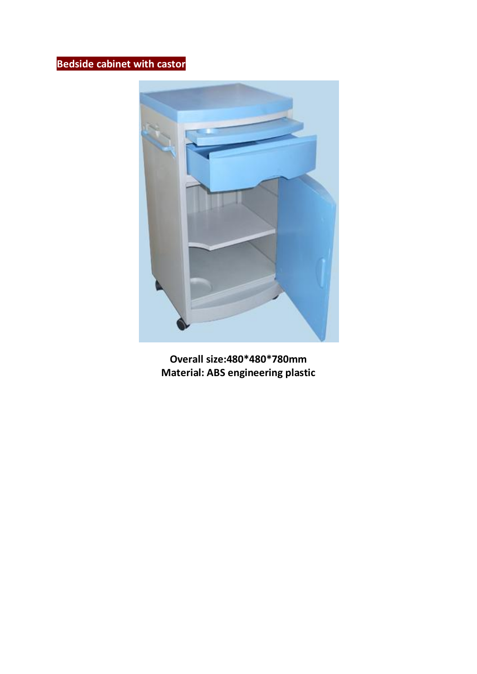# **Bedside cabinet with castor**



**Overall size:480\*480\*780mm Material: ABS engineering plastic**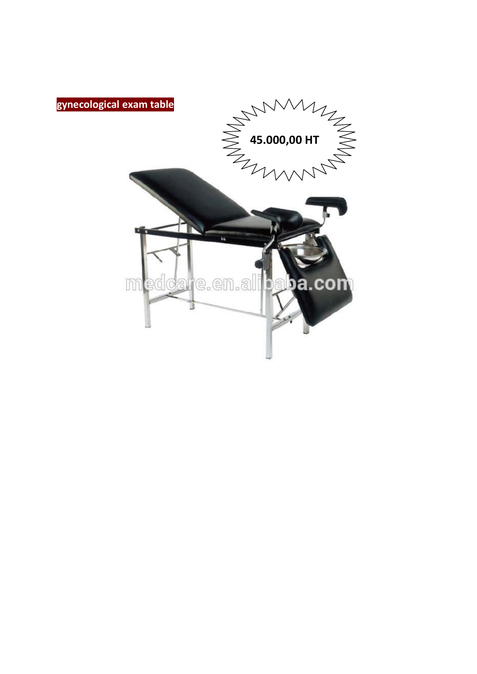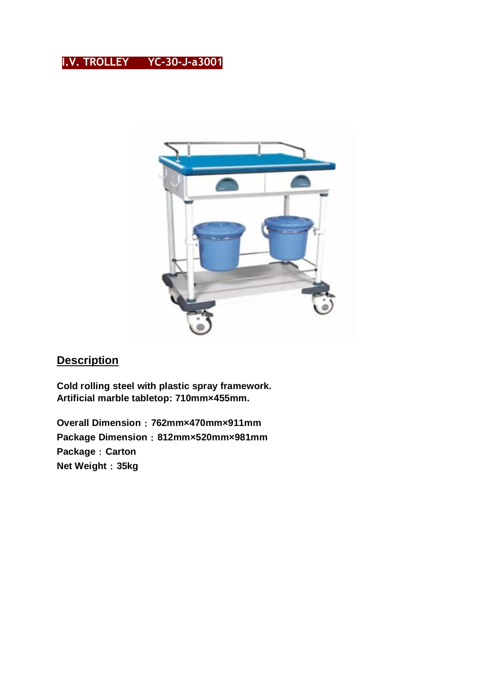## **I.V. TROLLEY YC-30-J-a3001**



## **Description**

**Cold rolling steel with plastic spray framework. Artificial marble tabletop: 710mm×455mm.**

**Overall Dimension**:**762mm×470mm×911mm Package Dimension**:**812mm×520mm×981mm Package**:**Carton Net Weight**:**35kg**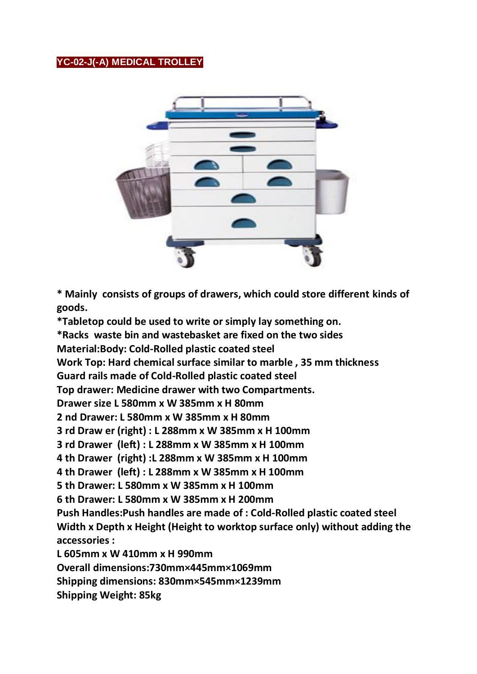### **YC-02-J(-A) MEDICAL TROLLEY**



**\* Mainly consists of groups of drawers, which could store different kinds of goods.** 

**\*Tabletop could be used to write or simply lay something on.** 

**\*Racks waste bin and wastebasket are fixed on the two sides**

**Material:Body: Cold-Rolled plastic coated steel** 

**Work Top: Hard chemical surface similar to marble , 35 mm thickness** 

**Guard rails made of Cold-Rolled plastic coated steel**

**Top drawer: Medicine drawer with two Compartments.**

**Drawer size L 580mm x W 385mm x H 80mm**

**2 nd Drawer: L 580mm x W 385mm x H 80mm**

**3 rd Draw er (right) : L 288mm x W 385mm x H 100mm**

**3 rd Drawer (left) : L 288mm x W 385mm x H 100mm**

**4 th Drawer (right) :L 288mm x W 385mm x H 100mm**

**4 th Drawer (left) : L 288mm x W 385mm x H 100mm**

**5 th Drawer: L 580mm x W 385mm x H 100mm**

**6 th Drawer: L 580mm x W 385mm x H 200mm** 

**Push Handles:Push handles are made of : Cold-Rolled plastic coated steel Width x Depth x Height (Height to worktop surface only) without adding the accessories :**

**L 605mm x W 410mm x H 990mm** 

**Overall dimensions:730mm×445mm×1069mm**

**Shipping dimensions: 830mm×545mm×1239mm**

**Shipping Weight: 85kg**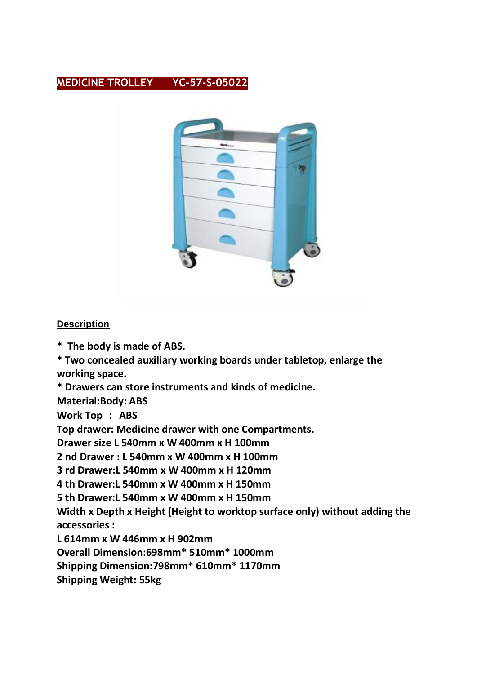## **MEDICINE TROLLEY YC-57-S-05022**



#### **Description**

**\* The body is made of ABS.**

**\* Two concealed auxiliary working boards under tabletop, enlarge the working space.**

**\* Drawers can store instruments and kinds of medicine.**

**Material:Body: ABS**

**Work Top** : **ABS**

**Top drawer: Medicine drawer with one Compartments.**

**Drawer size L 540mm x W 400mm x H 100mm**

**2 nd Drawer : L 540mm x W 400mm x H 100mm**

**3 rd Drawer:L 540mm x W 400mm x H 120mm**

**4 th Drawer:L 540mm x W 400mm x H 150mm**

**5 th Drawer:L 540mm x W 400mm x H 150mm**

**Width x Depth x Height (Height to worktop surface only) without adding the accessories :**

**L 614mm x W 446mm x H 902mm** 

**Overall Dimension:698mm\* 510mm\* 1000mm**

**Shipping Dimension:798mm\* 610mm\* 1170mm**

**Shipping Weight: 55kg**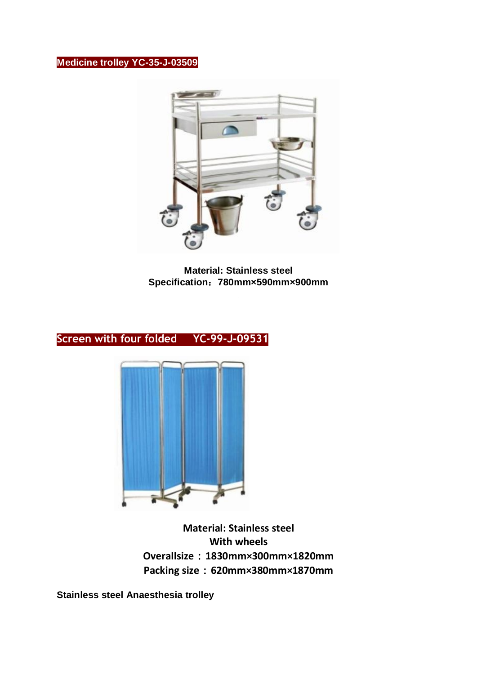## **Medicine trolley YC-35-J-03509**



**Material: Stainless steel Specification**:**780mm×590mm×900mm**

## **Screen with four folded YC-99-J-09531**



**Material: Stainless steel With wheels Overallsize**:**1830mm×300mm×1820mm Packing size**:**620mm×380mm×1870mm**

**Stainless steel Anaesthesia trolley**